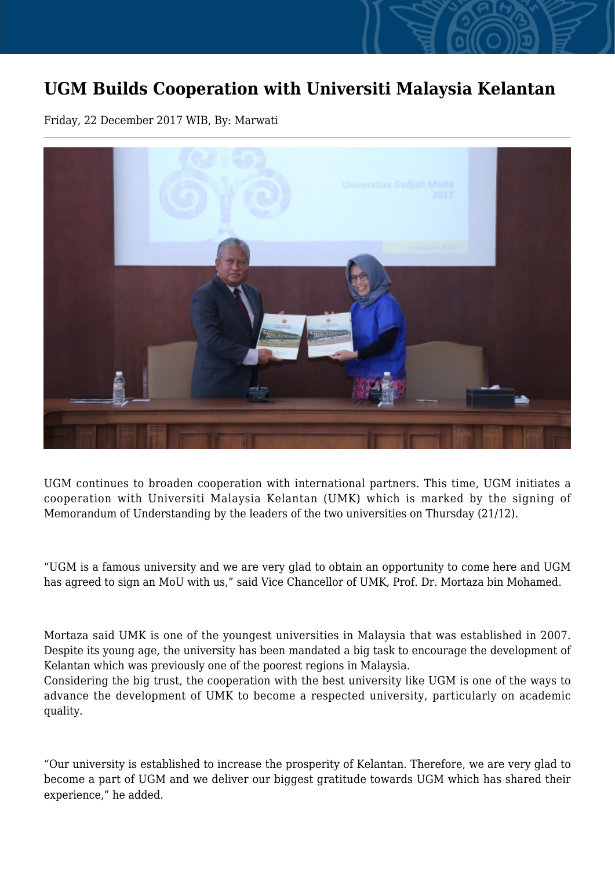## **UGM Builds Cooperation with Universiti Malaysia Kelantan**

Friday, 22 December 2017 WIB, By: Marwati



UGM continues to broaden cooperation with international partners. This time, UGM initiates a cooperation with Universiti Malaysia Kelantan (UMK) which is marked by the signing of Memorandum of Understanding by the leaders of the two universities on Thursday (21/12).

"UGM is a famous university and we are very glad to obtain an opportunity to come here and UGM has agreed to sign an MoU with us," said Vice Chancellor of UMK, Prof. Dr. Mortaza bin Mohamed.

Mortaza said UMK is one of the youngest universities in Malaysia that was established in 2007. Despite its young age, the university has been mandated a big task to encourage the development of Kelantan which was previously one of the poorest regions in Malaysia.

Considering the big trust, the cooperation with the best university like UGM is one of the ways to advance the development of UMK to become a respected university, particularly on academic quality.

"Our university is established to increase the prosperity of Kelantan. Therefore, we are very glad to become a part of UGM and we deliver our biggest gratitude towards UGM which has shared their experience," he added.